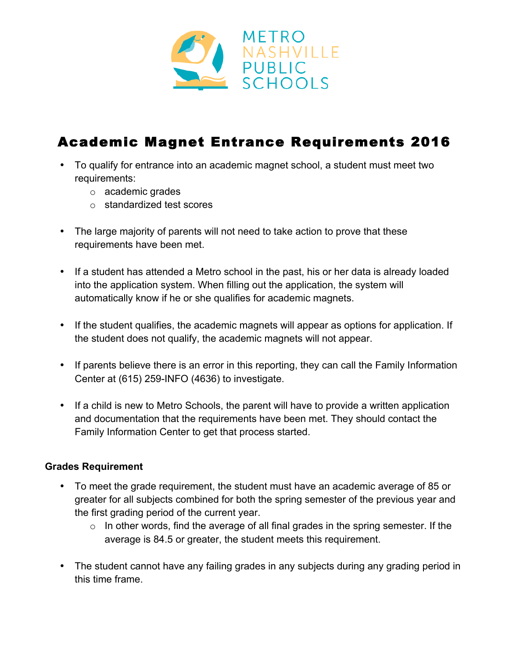

# Academic Magnet Entrance Requirements 2016

- To qualify for entrance into an academic magnet school, a student must meet two requirements:
	- o academic grades
	- o standardized test scores
- The large majority of parents will not need to take action to prove that these requirements have been met.
- If a student has attended a Metro school in the past, his or her data is already loaded into the application system. When filling out the application, the system will automatically know if he or she qualifies for academic magnets.
- If the student qualifies, the academic magnets will appear as options for application. If the student does not qualify, the academic magnets will not appear.
- If parents believe there is an error in this reporting, they can call the Family Information Center at (615) 259-INFO (4636) to investigate.
- If a child is new to Metro Schools, the parent will have to provide a written application and documentation that the requirements have been met. They should contact the Family Information Center to get that process started.

#### **Grades Requirement**

- To meet the grade requirement, the student must have an academic average of 85 or greater for all subjects combined for both the spring semester of the previous year and the first grading period of the current year.
	- $\circ$  In other words, find the average of all final grades in the spring semester. If the average is 84.5 or greater, the student meets this requirement.
- The student cannot have any failing grades in any subjects during any grading period in this time frame.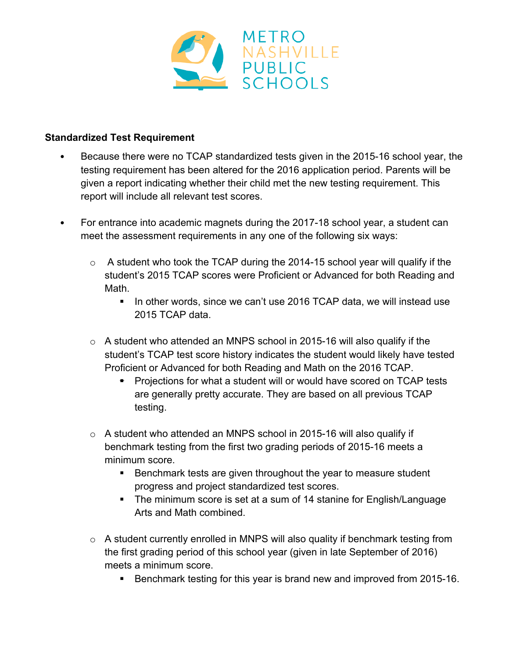

# **Standardized Test Requirement**

- Because there were no TCAP standardized tests given in the 2015-16 school year, the testing requirement has been altered for the 2016 application period. Parents will be given a report indicating whether their child met the new testing requirement. This report will include all relevant test scores.
- For entrance into academic magnets during the 2017-18 school year, a student can meet the assessment requirements in any one of the following six ways:
	- $\circ$  A student who took the TCAP during the 2014-15 school year will qualify if the student's 2015 TCAP scores were Proficient or Advanced for both Reading and Math.
		- ! In other words, since we can't use 2016 TCAP data, we will instead use 2015 TCAP data.
	- $\circ$  A student who attended an MNPS school in 2015-16 will also qualify if the student's TCAP test score history indicates the student would likely have tested Proficient or Advanced for both Reading and Math on the 2016 TCAP.
		- **E** Projections for what a student will or would have scored on TCAP tests are generally pretty accurate. They are based on all previous TCAP testing.
	- $\circ$  A student who attended an MNPS school in 2015-16 will also qualify if benchmark testing from the first two grading periods of 2015-16 meets a minimum score.
		- ! Benchmark tests are given throughout the year to measure student progress and project standardized test scores.
		- ! The minimum score is set at a sum of 14 stanine for English/Language Arts and Math combined.
	- $\circ$  A student currently enrolled in MNPS will also quality if benchmark testing from the first grading period of this school year (given in late September of 2016) meets a minimum score.
		- **EXECT** Benchmark testing for this year is brand new and improved from 2015-16.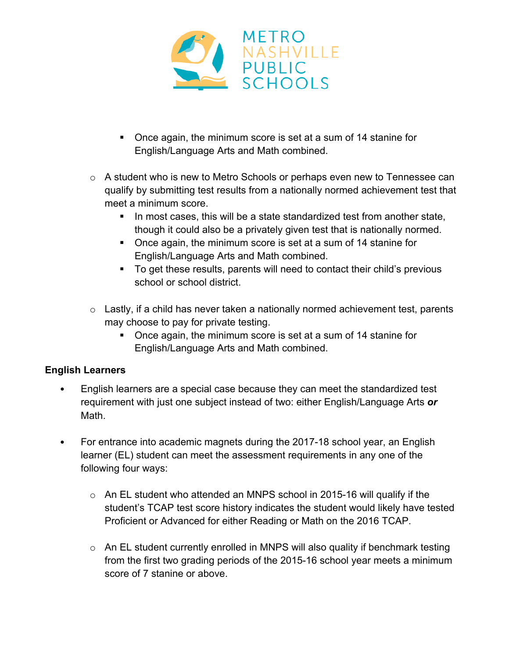

- ! Once again, the minimum score is set at a sum of 14 stanine for English/Language Arts and Math combined.
- o A student who is new to Metro Schools or perhaps even new to Tennessee can qualify by submitting test results from a nationally normed achievement test that meet a minimum score.
	- ! In most cases, this will be a state standardized test from another state, though it could also be a privately given test that is nationally normed.
	- ! Once again, the minimum score is set at a sum of 14 stanine for English/Language Arts and Math combined.
	- ! To get these results, parents will need to contact their child's previous school or school district.
- $\circ$  Lastly, if a child has never taken a nationally normed achievement test, parents may choose to pay for private testing.
	- ! Once again, the minimum score is set at a sum of 14 stanine for English/Language Arts and Math combined.

# **English Learners**

- English learners are a special case because they can meet the standardized test requirement with just one subject instead of two: either English/Language Arts *or* Math.
- For entrance into academic magnets during the 2017-18 school year, an English learner (EL) student can meet the assessment requirements in any one of the following four ways:
	- o An EL student who attended an MNPS school in 2015-16 will qualify if the student's TCAP test score history indicates the student would likely have tested Proficient or Advanced for either Reading or Math on the 2016 TCAP.
	- o An EL student currently enrolled in MNPS will also quality if benchmark testing from the first two grading periods of the 2015-16 school year meets a minimum score of 7 stanine or above.